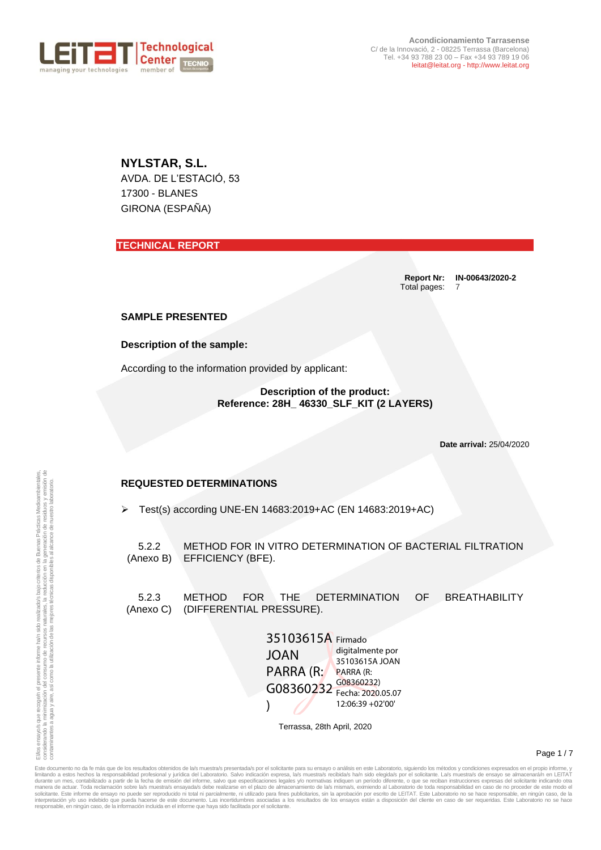

**NYLSTAR, S.L.** AVDA. DE L'ESTACIÓ, 53 17300 - BLANES GIRONA (ESPAÑA)

**TECHNICAL REPORT**

**Report Nr: IN-00643/2020-2** Total pages: 7

### **SAMPLE PRESENTED**

**Description of the sample:**

According to the information provided by applicant:

**Description of the product: Reference: 28H\_ 46330\_SLF\_KIT (2 LAYERS)**

**Date arrival:** 25/04/2020

## **REQUESTED DETERMINATIONS**

➢ Test(s) according UNE-EN 14683:2019+AC (EN 14683:2019+AC)

5.2.2 (Anexo B) METHOD FOR IN VITRO DETERMINATION OF BACTERIAL FILTRATION EFFICIENCY (BFE).

5.2.3 (Anexo C) (DIFFERENTIAL PRESSURE). METHOD FOR THE DETERMINATION OF BREATHABILITY

| 35103615A Firmado |                                 |
|-------------------|---------------------------------|
| <b>JOAN</b>       | digitalmente por                |
| PARRA (R:         | 35103615A JOAN<br>PARRA (R:     |
| G08360232         | G08360232)<br>Fecha: 2020.05.07 |
|                   |                                 |
|                   | 12:06:39 +02'00'                |

Terrassa, 28th April, 2020

Page 1 / 7

Este documento no da fe más que de los resultados obtenidos de la/s muestra/s presentada/s por el solicitante para su ensayo o análisis en este Laboratorio, siguiendo los métodos y condiciones expresados en el propio infor limitando a estos hechos la responsabilidad profesional y jurídica del Laboratorio. Salvo indicación expresa, la/s muestra/s recibida/s ha/n sido elegida/s por el solicitante. La/s muestra/s de ensayo se almacenará/n en LE interpretación y/o uso indebido que pueda hacerse de este documento. Las incertidumbres asociadas a los resultados de los ensayos están a disposición del cliente en caso de ser requeridas. Este Laboratorio no se hacer resp **EQUESTED DETERMINATIONS<br>
Secondary of the state of the state of the state of the state of the state of the state of the state of the state of the state of the state of the state of the state of the state of the state of**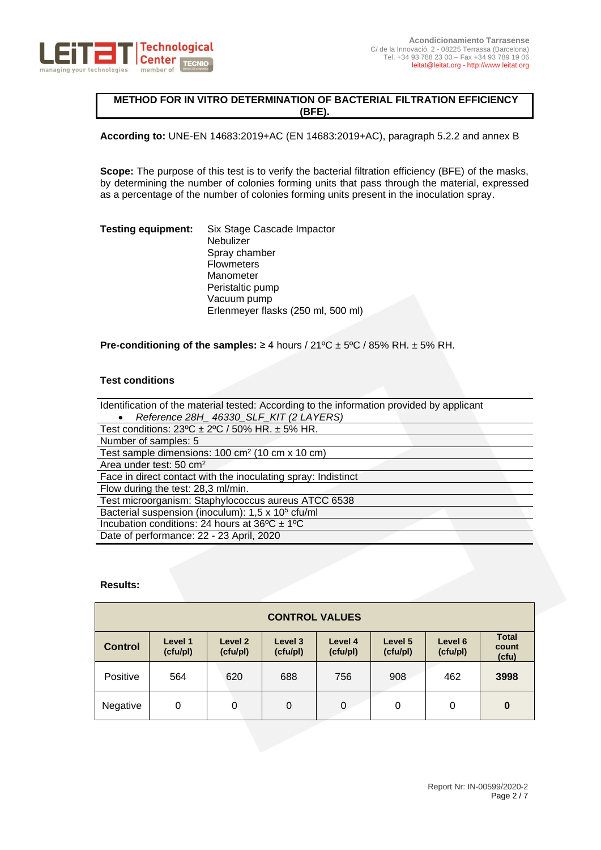

# **METHOD FOR IN VITRO DETERMINATION OF BACTERIAL FILTRATION EFFICIENCY (BFE).**

**According to:** UNE-EN 14683:2019+AC (EN 14683:2019+AC), paragraph 5.2.2 and annex B

**Scope:** The purpose of this test is to verify the bacterial filtration efficiency (BFE) of the masks, by determining the number of colonies forming units that pass through the material, expressed as a percentage of the number of colonies forming units present in the inoculation spray.

### **Testing equipment:** Six Stage Cascade Impactor Nebulizer Spray chamber **Flowmeters** Manometer Peristaltic pump Vacuum pump Erlenmeyer flasks (250 ml, 500 ml)

### **Pre-conditioning of the samples:** ≥ 4 hours / 21ºC ± 5ºC / 85% RH. ± 5% RH.

## **Test conditions**

| Identification of the material tested: According to the information provided by applicant |
|-------------------------------------------------------------------------------------------|
| Reference 28H_46330_SLF_KIT (2 LAYERS)                                                    |
| Test conditions: $23^{\circ}C \pm 2^{\circ}C / 50\%$ HR. $\pm 5\%$ HR.                    |
| Number of samples: 5                                                                      |
| Test sample dimensions: $100 \text{ cm}^2$ (10 cm x 10 cm)                                |
| Area under test: 50 cm <sup>2</sup>                                                       |
| Face in direct contact with the inoculating spray: Indistinct                             |
| Flow during the test: 28,3 ml/min.                                                        |
| Test microorganism: Staphylococcus aureus ATCC 6538                                       |
| Bacterial suspension (inoculum): 1,5 x 10 <sup>5</sup> cfu/ml                             |
| Incubation conditions: 24 hours at $36^{\circ}C \pm 1^{\circ}C$                           |
| Date of performance: 22 - 23 April, 2020                                                  |

## **Results:**

| <b>CONTROL VALUES</b> |                     |                     |                     |                     |                     |                     |                                |
|-----------------------|---------------------|---------------------|---------------------|---------------------|---------------------|---------------------|--------------------------------|
| <b>Control</b>        | Level 1<br>(cfu/pl) | Level 2<br>(cfu/pl) | Level 3<br>(cfu/pl) | Level 4<br>(cfu/pl) | Level 5<br>(cfu/pl) | Level 6<br>(cfu/pl) | <b>Total</b><br>count<br>(cfu) |
| Positive              | 564                 | 620                 | 688                 | 756                 | 908                 | 462                 | 3998                           |
| Negative              | 0                   | 0                   | 0                   | 0                   | 0                   | 0                   | $\bf{0}$                       |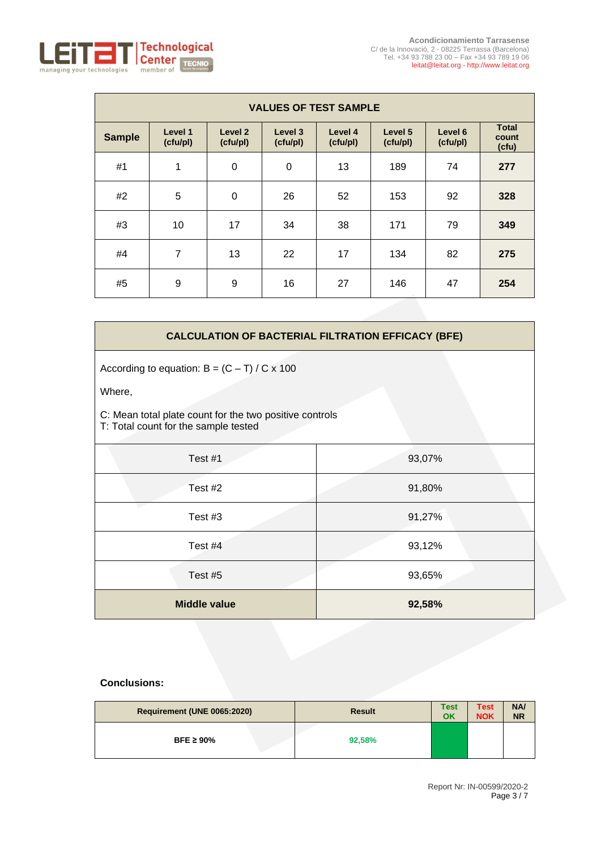

| <b>VALUES OF TEST SAMPLE</b> |                     |                                |                     |                     |                     |                     |                                |
|------------------------------|---------------------|--------------------------------|---------------------|---------------------|---------------------|---------------------|--------------------------------|
| <b>Sample</b>                | Level 1<br>(cfu/pl) | Level <sub>2</sub><br>(cfu/pl) | Level 3<br>(cfu/pl) | Level 4<br>(cfu/pl) | Level 5<br>(cfu/pl) | Level 6<br>(cfu/pl) | <b>Total</b><br>count<br>(cfu) |
| #1                           | 1                   | $\mathbf 0$                    | 0                   | 13                  | 189                 | 74                  | 277                            |
| #2                           | 5                   | $\mathbf 0$                    | 26                  | 52                  | 153                 | 92                  | 328                            |
| #3                           | 10                  | 17                             | 34                  | 38                  | 171                 | 79                  | 349                            |
| #4                           | 7                   | 13                             | 22                  | 17                  | 134                 | 82                  | 275                            |
| #5                           | 9                   | 9                              | 16                  | 27                  | 146                 | 47                  | 254                            |

## **CALCULATION OF BACTERIAL FILTRATION EFFICACY (BFE)**

According to equation:  $B = (C - T) / C \times 100$ 

Where,

C: Mean total plate count for the two positive controls

T: Total count for the sample tested

| Test #1             | 93,07% |
|---------------------|--------|
| Test #2             | 91,80% |
| Test #3             | 91,27% |
| Test #4             | 93,12% |
| Test #5             | 93,65% |
| <b>Middle value</b> | 92,58% |

| Requirement (UNE 0065:2020) | <b>Result</b> | <b>Test</b><br>OK | <b>Test</b><br><b>NOK</b> | NA/<br><b>NR</b> |
|-----------------------------|---------------|-------------------|---------------------------|------------------|
| BFE $\geq 90\%$             | 92,58%        |                   |                           |                  |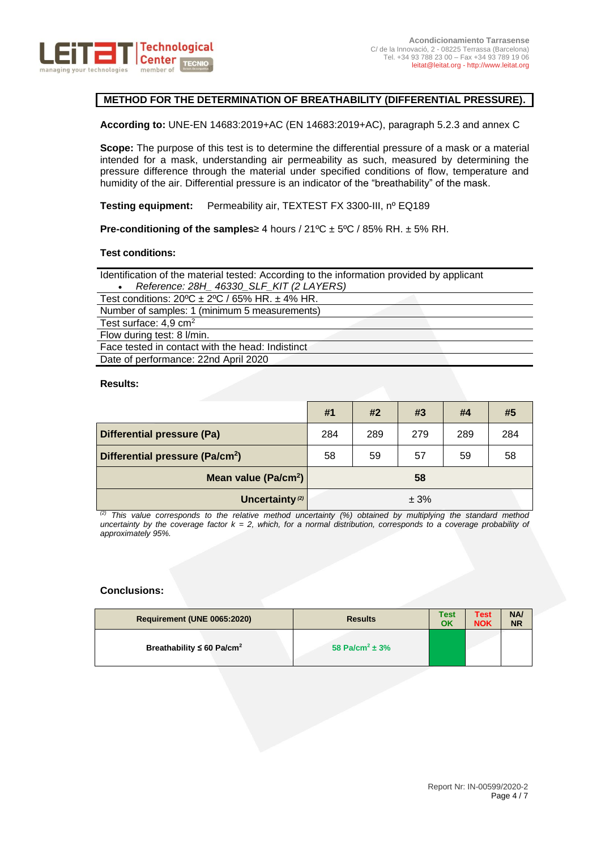

# **METHOD FOR THE DETERMINATION OF BREATHABILITY (DIFFERENTIAL PRESSURE).**

**According to:** UNE-EN 14683:2019+AC (EN 14683:2019+AC), paragraph 5.2.3 and annex C

**Scope:** The purpose of this test is to determine the differential pressure of a mask or a material intended for a mask, understanding air permeability as such, measured by determining the pressure difference through the material under specified conditions of flow, temperature and humidity of the air. Differential pressure is an indicator of the "breathability" of the mask.

**Testing equipment:** Permeability air, TEXTEST FX 3300-III, nº EQ189

**Pre-conditioning of the samples**≥ 4 hours / 21ºC ± 5ºC / 85% RH. ± 5% RH.

#### **Test conditions:**

Identification of the material tested: According to the information provided by applicant • *Reference: 28H\_ 46330\_SLF\_KIT (2 LAYERS)*

Test conditions:  $20^{\circ}$ C ±  $2^{\circ}$ C / 65% HR. ± 4% HR. Number of samples: 1 (minimum 5 measurements) Test surface: 4,9 cm<sup>2</sup>

Flow during test: 8 l/min. Face tested in contact with the head: Indistinct Date of performance: 22nd April 2020

**Results:**

|                                             | #1  | #2  | #3   | #4  | #5  |
|---------------------------------------------|-----|-----|------|-----|-----|
| <b>Differential pressure (Pa)</b>           | 284 | 289 | 279  | 289 | 284 |
| Differential pressure (Pa/cm <sup>2</sup> ) | 58  | 59  | 57   | 59  | 58  |
| Mean value (Pa/cm <sup>2</sup> )            |     |     | 58   |     |     |
| Uncertainty <sup>(2)</sup>                  |     |     | ± 3% |     |     |

*(2) This value corresponds to the relative method uncertainty (%) obtained by multiplying the standard method uncertainty by the coverage factor k = 2, which, for a normal distribution, corresponds to a coverage probability of approximately 95%.*

| <b>Requirement (UNE 0065:2020)</b>         | <b>Results</b>                 | <b>Test</b><br>OK | <b>Test</b><br><b>NOK</b> | NA/<br><b>NR</b> |
|--------------------------------------------|--------------------------------|-------------------|---------------------------|------------------|
| Breathability $\leq 60$ Pa/cm <sup>2</sup> | 58 Pa/cm <sup>2</sup> $\pm$ 3% |                   |                           |                  |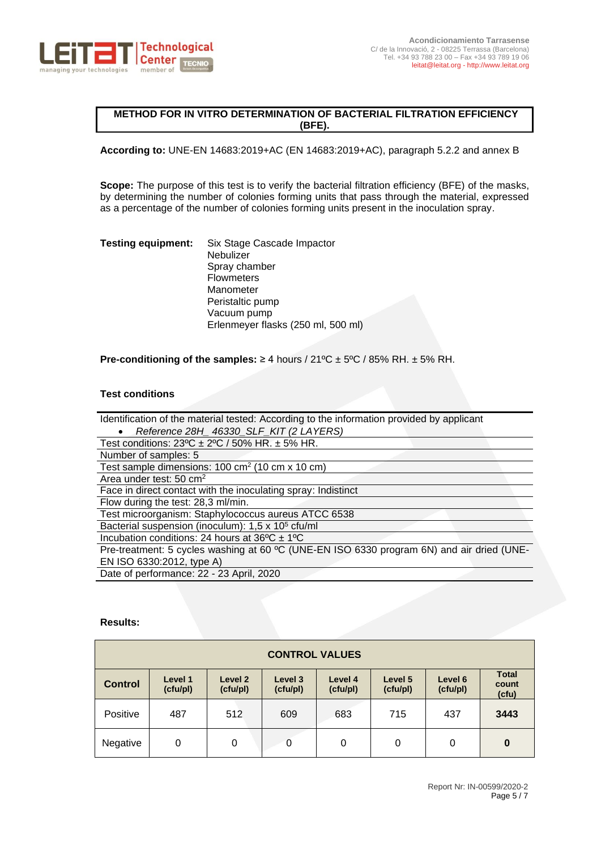

# **METHOD FOR IN VITRO DETERMINATION OF BACTERIAL FILTRATION EFFICIENCY (BFE).**

**According to:** UNE-EN 14683:2019+AC (EN 14683:2019+AC), paragraph 5.2.2 and annex B

**Scope:** The purpose of this test is to verify the bacterial filtration efficiency (BFE) of the masks, by determining the number of colonies forming units that pass through the material, expressed as a percentage of the number of colonies forming units present in the inoculation spray.

**Testing equipment:** Six Stage Cascade Impactor **Nebulizer** Spray chamber **Flowmeters** Manometer Peristaltic pump Vacuum pump Erlenmeyer flasks (250 ml, 500 ml)

**Pre-conditioning of the samples:**  $\geq 4$  hours  $/21^{\circ}C \pm 5^{\circ}C / 85^{\circ}$  RH.  $\pm 5^{\circ}$  RH.

## **Test conditions**

| Identification of the material tested: According to the information provided by applicant |
|-------------------------------------------------------------------------------------------|
| Reference 28H 46330 SLF KIT (2 LAYERS)                                                    |
| Test conditions: $23^{\circ}C \pm 2^{\circ}C / 50\%$ HR. $\pm 5\%$ HR.                    |
| Number of samples: 5                                                                      |
| Test sample dimensions: 100 cm <sup>2</sup> (10 cm x 10 cm)                               |
| Area under test: $50 \text{ cm}^2$                                                        |
| Face in direct contact with the inoculating spray: Indistinct                             |
| Flow during the test: 28,3 ml/min.                                                        |
| Test microorganism: Staphylococcus aureus ATCC 6538                                       |
| Bacterial suspension (inoculum): 1,5 x 10 <sup>5</sup> cfu/ml                             |
| Incubation conditions: 24 hours at $36^{\circ}$ C ± 1°C                                   |
| Pre-treatment: 5 cycles washing at 60 °C (UNE-EN ISO 6330 program 6N) and air dried (UNE- |
| EN ISO 6330:2012, type A)                                                                 |
| Date of performance: 22 - 23 April, 2020                                                  |

### **Results:**

| <b>CONTROL VALUES</b> |                     |                     |                     |                     |                     |                     |                                |
|-----------------------|---------------------|---------------------|---------------------|---------------------|---------------------|---------------------|--------------------------------|
| <b>Control</b>        | Level 1<br>(cfu/pl) | Level 2<br>(cfu/pl) | Level 3<br>(cfu/pl) | Level 4<br>(cfu/pl) | Level 5<br>(cfu/pl) | Level 6<br>(cfu/pl) | <b>Total</b><br>count<br>(cfu) |
| Positive              | 487                 | 512                 | 609                 | 683                 | 715                 | 437                 | 3443                           |
| Negative              | 0                   | 0                   | 0                   | 0                   | 0                   | 0                   | $\bf{0}$                       |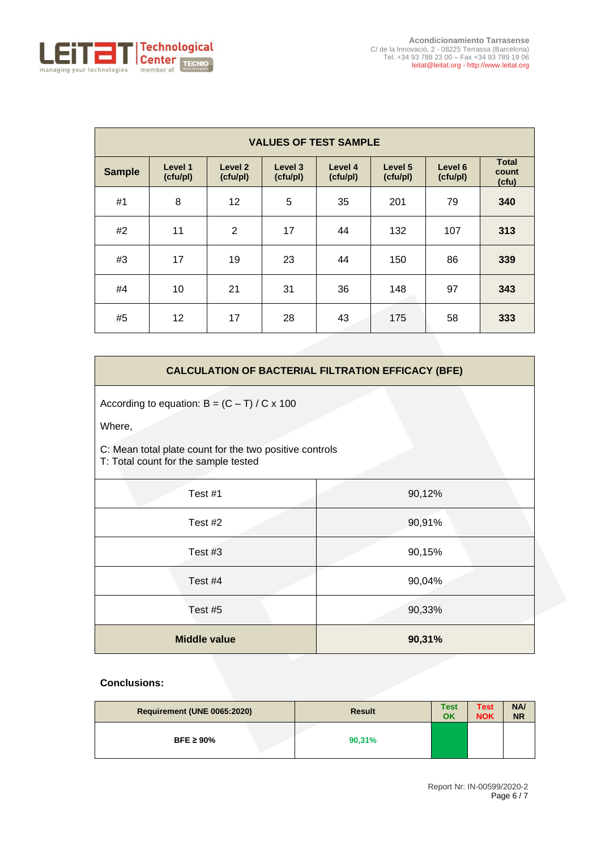

|               | <b>VALUES OF TEST SAMPLE</b> |                                |                     |                     |                     |                     |                                |  |
|---------------|------------------------------|--------------------------------|---------------------|---------------------|---------------------|---------------------|--------------------------------|--|
| <b>Sample</b> | Level 1<br>(cfu/pl)          | Level <sub>2</sub><br>(cfu/pl) | Level 3<br>(cfu/pl) | Level 4<br>(cfu/pl) | Level 5<br>(cfu/pl) | Level 6<br>(cfu/pl) | <b>Total</b><br>count<br>(cfu) |  |
| #1            | 8                            | 12                             | 5                   | 35                  | 201                 | 79                  | 340                            |  |
| #2            | 11                           | $\overline{2}$                 | 17                  | 44                  | 132                 | 107                 | 313                            |  |
| #3            | 17                           | 19                             | 23                  | 44                  | 150                 | 86                  | 339                            |  |
| #4            | 10                           | 21                             | 31                  | 36                  | 148                 | 97                  | 343                            |  |
| #5            | 12                           | 17                             | 28                  | 43                  | 175                 | 58                  | 333                            |  |

# **CALCULATION OF BACTERIAL FILTRATION EFFICACY (BFE)**

According to equation:  $B = (C - T) / C \times 100$ 

Where,

C: Mean total plate count for the two positive controls T: Total count for the sample tested

| Test #1             | 90,12% |
|---------------------|--------|
| Test #2             | 90,91% |
| Test #3             | 90,15% |
| Test #4             | 90,04% |
| Test #5             | 90,33% |
| <b>Middle value</b> | 90,31% |

| Requirement (UNE 0065:2020) | <b>Result</b> | <b>Test</b><br>OK | <b>Test</b><br><b>NOK</b> | NA/<br><b>NR</b> |
|-----------------------------|---------------|-------------------|---------------------------|------------------|
| BFE $\geq 90\%$             | 90,31%        |                   |                           |                  |